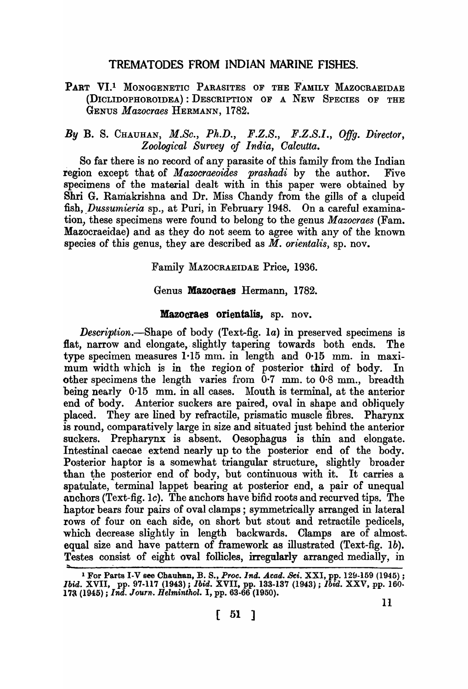# TREMATODES FROM INDIAN MARINE FISHES.

## PART VI.<sup>1</sup> MONOGENETIC PARASITES OF THE FAMILY MAZOCRAEIDAE (DICLIDOPHOROIDEA) : DESCRIPTION OF A NEW SPECIES OF THE GENUS *Mazocraes* HERMANN, 1782.

# *By* B. S. CHAUHAN, *M.Sc., Ph.D., F.Z.S., F.Z.S.I., Offg. Director, Zoological Survey of India, Oalcutta.*

So far there is no record of any parasite of this family from the Indian region except that of *Mazocraeoides prashadi* by the author. Five specimens of the material dealt with in this paper were obtained by 8hri G. Ramakrishna and Dr. Miss Chandy from the gills of a clupeid fish, *Dussumieria* sp., at Puri, in February 1948. On a careful examination, these specimens were found to belong to the genus *Mazocraes* (Fam. Mazocraeidae) and as they do not seem to agree with any of the known species of this genus, they are described as M. *orientalis,* sp. nov.

Family MAZOCRAEIDAE Price, 1936.

#### Genus Mazocraes Hermann, 1782.

#### Mazocraes orientalis, sp. nov.

*Description.-Shape* of body (Text-fig. la) in preserved specimens is flat, narrow and elongate, slightly tapering towards both ends. The type specimen measures 1·15 mm. in length and 0·15 mm. in maximum width which is in the region of posterior third of body. In other specimens the length varies from  $0.7 \text{ mm}$ . to  $0.8 \text{ mm}$ ., breadth being nearly  $0.15$  mm. in all cases. Mouth is terminal, at the anterior end of body. Anterior suckers are paired, oval in shape and obliquely placed. They are lined by refractile, prismatic muscle fibres. Pharynx is round, comparatively large in size and situated just behind the anterior suckers. Prepharynx is absent. Oesophagus is thin and elongate. Intestinal caecae extend nearly up to the posterior end of the body. Posterior haptor is a somewhat triangular structure, slightly broader than the posterior end of body, but continuous with it. It carries a spatulate, terminal lappet bearing at posterior end, a pair of unequal anchors (Text-fig. *Ie).* The anchors have bifid roots and recurved tips. The haptor bears four pairs of oval clamps; symmetrically arranged in lateral rows of four on each side, on short but stout and retractile pedicels, which decrease slightly in length backwards. Clamps are of almost. equal size and have pattern of framework as illustrated (Text-fig. *Ib).*  Testes consist of eight oval follicles, irregularly arranged medially, in

<sup>&</sup>lt;sup>1</sup> For Parts I-V see Chauhan, B. S., *Proc. Ind. Acad. Sci.* XXI, pp. 129-159 (1945) ; *Ibid.* XVII, pp. 97-117 (1943); *Ibid.* XVII, pp. 133-137 (1943); *Ibid.* XXV, pp. 160- 17a (1945) ; *Ind. Jo'Urn.. Helminthol.* I, pp. 63-66 (1950).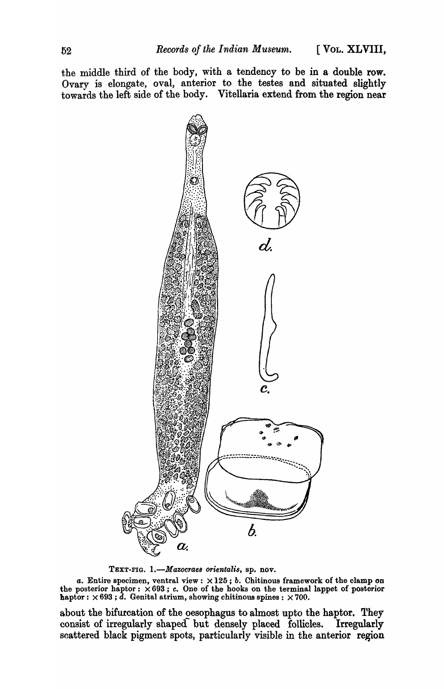the middle third of the body, with a tendency to be in a double row. Ovary is elongate, oval, anterior to the testes and situated slightly towards the left side of the body. Vitellaria extend from the region near



TEXT-FIG. l.-M *azocrae8 orientali8,* sp. nov.

*a.* Entire specimen, ventral view:  $\times 125$ ; *b.* Chitinous framework of the clamp on the posterior haptor:  $\times 693$ ; c. One of the hooks on the terminal lappet of posterior haptor:  $\times 693$ ;  $\bar{d}$ . Genital atrium, showing chitinous spines:  $\times 700$ .

about the bifurcation of the oesophagus to almost upto the haptor. They consist of irregularly shaped but densely placed follicles. Irregularly scattered black pigment spots, particularly visible in the anterior region